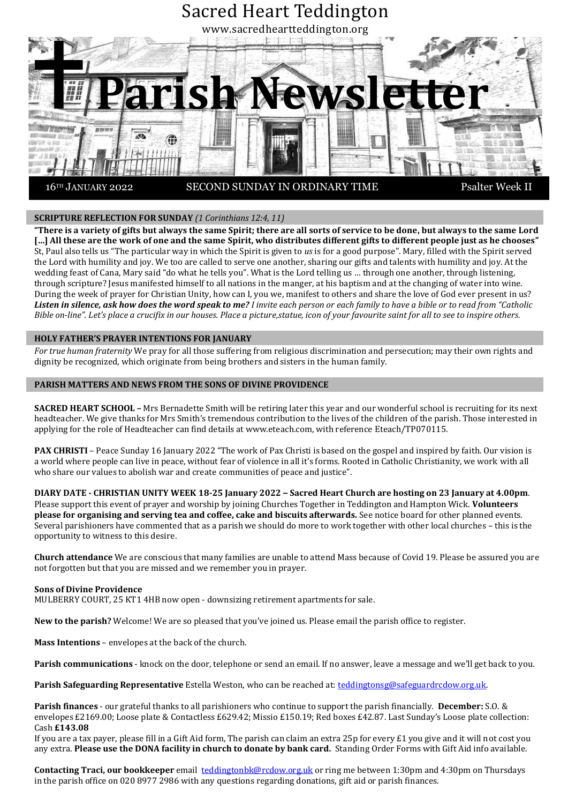

# **SCRIPTURE REFLECTION FOR SUNDAY** *(1 Corinthians 12:4, 11)*

**"There is a variety of gifts but always the same Spirit; there are all sorts of service to be done, but always to the same Lord […] All these are the work of one and the same Spirit, who distributes different gifts to different people just as he chooses"**  St, Paul also tells us "The particular way in which the Spirit is given to *us* is for a good purpose". Mary, filled with the Spirit served the Lord with humility and joy. We too are called to serve one another, sharing our gifts and talents with humility and joy. At the wedding feast of Cana, Mary said "do what he tells you". What is the Lord telling us … through one another, through listening, through scripture? Jesus manifested himself to all nations in the manger, at his baptism and at the changing of water into wine. During the week of prayer for Christian Unity, how can I, you we, manifest to others and share the love of God ever present in us? *Listen in silence, ask how does the word speak to me? I invite each person or each family to have a bible or to read from "Catholic Bible on-line". Let's place a crucifix in our houses. Place a picture*, statue, icon of your favourite saint for all to see to inspire others.

#### **HOLY FATHER'S PRAYER INTENTIONS FOR JANUARY**

*For true human fraternity* We pray for all those suffering from religious discrimination and persecution; may their own rights and dignity be recognized, which originate from being brothers and sisters in the human family.

#### **PARISH MATTERS AND NEWS FROM THE SONS OF DIVINE PROVIDENCE**

**SACRED HEART SCHOOL –** Mrs Bernadette Smith will be retiring later this year and our wonderful school is recruiting for its next headteacher. We give thanks for Mrs Smith's tremendous contribution to the lives of the children of the parish. Those interested in applying for the role of Headteacher can find details at www.eteach.com, with reference Eteach/TP070115.

**PAX CHRISTI** – Peace Sunday 16 January 2022 "The work of Pax Christi is based on the gospel and inspired by faith. Our vision is a world where people can live in peace, without fear of violence in all it's forms. Rooted in Catholic Christianity, we work with all who share our values to abolish war and create communities of peace and justice".

**DIARY DATE - CHRISTIAN UNITY WEEK 18-25 January 2022 – Sacred Heart Church are hosting on 23 January at 4.00pm**. Please support this event of prayer and worship by joining Churches Together in Teddington and Hampton Wick. **Volunteers please for organising and serving tea and coffee, cake and biscuits afterwards.** See notice board for other planned events. Several parishioners have commented that as a parish we should do more to work together with other local churches – this is the opportunity to witness to this desire.

**Church attendance** We are conscious that many families are unable to attend Mass because of Covid 19. Please be assured you are not forgotten but that you are missed and we remember you in prayer.

#### **Sons of Divine Providence**

MULBERRY COURT, 25 KT1 4HB now open - downsizing retirement apartments for sale.

**New to the parish?** Welcome! We are so pleased that you've joined us. Please email the parish office to register.

**Mass Intentions** – envelopes at the back of the church.

**Parish communications** - knock on the door, telephone or send an email. If no answer, leave a message and we'll get back to you.

**Parish Safeguarding Representative** Estella Weston, who can be reached at: [teddingtonsg@safeguardrcdow.org.uk.](mailto:teddingtonsg@safeguardrcdow.org.uk)

**Parish finances** - our grateful thanks to all parishioners who continue to support the parish financially. **December:** S.O. & envelopes £2169.00; Loose plate & Contactless £629.42; Missio £150.19; Red boxes £42.87. Last Sunday's Loose plate collection: Cash **£143.08**

If you are a tax payer, please fill in a Gift Aid form, The parish can claim an extra 25p for every  $\pounds 1$  you give and it will not cost you any extra. **Please use the DONA facility in church to donate by bank card.** Standing Order Forms with Gift Aid info available.

**Contacting Traci, our bookkeeper** email [teddingtonbk@rcdow.org.uk](mailto:teddingtonbk@rcdow.org.uk) or ring me between 1:30pm and 4:30pm on Thursdays in the parish office on 020 8977 2986 with any questions regarding donations, gift aid or parish finances.